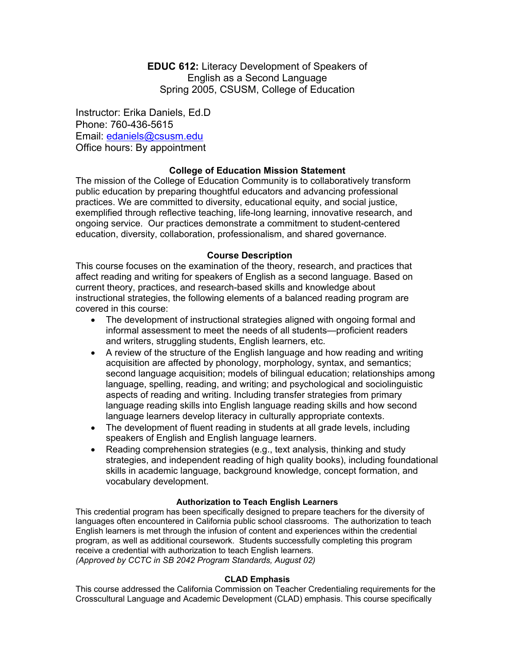**EDUC 612:** Literacy Development of Speakers of English as a Second Language Spring 2005, CSUSM, College of Education

Instructor: Erika Daniels, Ed.D Phone: 760-436-5615 Email: edaniels@csusm.edu Office hours: By appointment

# **College of Education Mission Statement**

The mission of the College of Education Community is to collaboratively transform public education by preparing thoughtful educators and advancing professional practices. We are committed to diversity, educational equity, and social justice, exemplified through reflective teaching, life-long learning, innovative research, and ongoing service. Our practices demonstrate a commitment to student-centered education, diversity, collaboration, professionalism, and shared governance.

## **Course Description**

This course focuses on the examination of the theory, research, and practices that affect reading and writing for speakers of English as a second language. Based on current theory, practices, and research-based skills and knowledge about instructional strategies, the following elements of a balanced reading program are covered in this course:

- The development of instructional strategies aligned with ongoing formal and informal assessment to meet the needs of all students—proficient readers and writers, struggling students, English learners, etc.
- A review of the structure of the English language and how reading and writing acquisition are affected by phonology, morphology, syntax, and semantics; second language acquisition; models of bilingual education; relationships among language, spelling, reading, and writing; and psychological and sociolinguistic aspects of reading and writing. Including transfer strategies from primary language reading skills into English language reading skills and how second language learners develop literacy in culturally appropriate contexts.
- The development of fluent reading in students at all grade levels, including speakers of English and English language learners.
- Reading comprehension strategies (e.g., text analysis, thinking and study strategies, and independent reading of high quality books), including foundational skills in academic language, background knowledge, concept formation, and vocabulary development.

#### **Authorization to Teach English Learners**

This credential program has been specifically designed to prepare teachers for the diversity of languages often encountered in California public school classrooms. The authorization to teach English learners is met through the infusion of content and experiences within the credential program, as well as additional coursework. Students successfully completing this program receive a credential with authorization to teach English learners. *(Approved by CCTC in SB 2042 Program Standards, August 02)*

#### **CLAD Emphasis**

This course addressed the California Commission on Teacher Credentialing requirements for the Crosscultural Language and Academic Development (CLAD) emphasis. This course specifically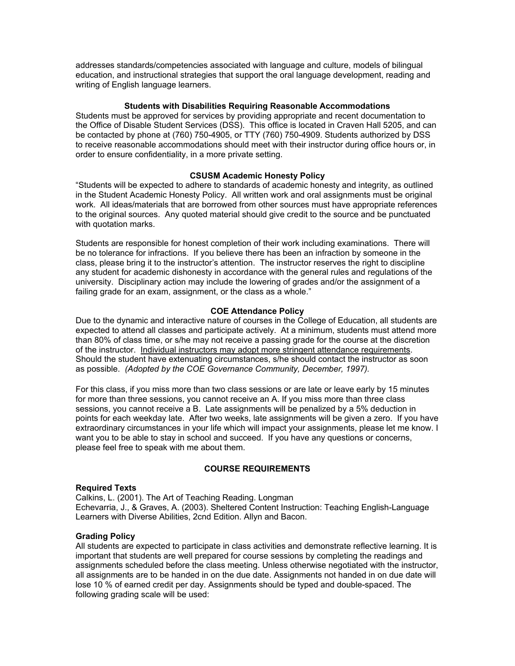addresses standards/competencies associated with language and culture, models of bilingual education, and instructional strategies that support the oral language development, reading and writing of English language learners.

#### **Students with Disabilities Requiring Reasonable Accommodations**

Students must be approved for services by providing appropriate and recent documentation to the Office of Disable Student Services (DSS). This office is located in Craven Hall 5205, and can be contacted by phone at (760) 750-4905, or TTY (760) 750-4909. Students authorized by DSS to receive reasonable accommodations should meet with their instructor during office hours or, in order to ensure confidentiality, in a more private setting.

#### **CSUSM Academic Honesty Policy**

"Students will be expected to adhere to standards of academic honesty and integrity, as outlined in the Student Academic Honesty Policy. All written work and oral assignments must be original work. All ideas/materials that are borrowed from other sources must have appropriate references to the original sources. Any quoted material should give credit to the source and be punctuated with quotation marks.

Students are responsible for honest completion of their work including examinations. There will be no tolerance for infractions. If you believe there has been an infraction by someone in the class, please bring it to the instructor's attention. The instructor reserves the right to discipline any student for academic dishonesty in accordance with the general rules and regulations of the university. Disciplinary action may include the lowering of grades and/or the assignment of a failing grade for an exam, assignment, or the class as a whole."

#### **COE Attendance Policy**

Due to the dynamic and interactive nature of courses in the College of Education, all students are expected to attend all classes and participate actively. At a minimum, students must attend more than 80% of class time, or s/he may not receive a passing grade for the course at the discretion of the instructor. Individual instructors may adopt more stringent attendance requirements. Should the student have extenuating circumstances, s/he should contact the instructor as soon as possible. *(Adopted by the COE Governance Community, December, 1997).*

For this class, if you miss more than two class sessions or are late or leave early by 15 minutes for more than three sessions, you cannot receive an A. If you miss more than three class sessions, you cannot receive a B. Late assignments will be penalized by a 5% deduction in points for each weekday late. After two weeks, late assignments will be given a zero. If you have extraordinary circumstances in your life which will impact your assignments, please let me know. I want you to be able to stay in school and succeed. If you have any questions or concerns, please feel free to speak with me about them.

#### **COURSE REQUIREMENTS**

#### **Required Texts**

Calkins, L. (2001). The Art of Teaching Reading. Longman Echevarria, J., & Graves, A. (2003). Sheltered Content Instruction: Teaching English-Language Learners with Diverse Abilities, 2cnd Edition. Allyn and Bacon.

#### **Grading Policy**

All students are expected to participate in class activities and demonstrate reflective learning. It is important that students are well prepared for course sessions by completing the readings and assignments scheduled before the class meeting. Unless otherwise negotiated with the instructor, all assignments are to be handed in on the due date. Assignments not handed in on due date will lose 10 % of earned credit per day. Assignments should be typed and double-spaced. The following grading scale will be used: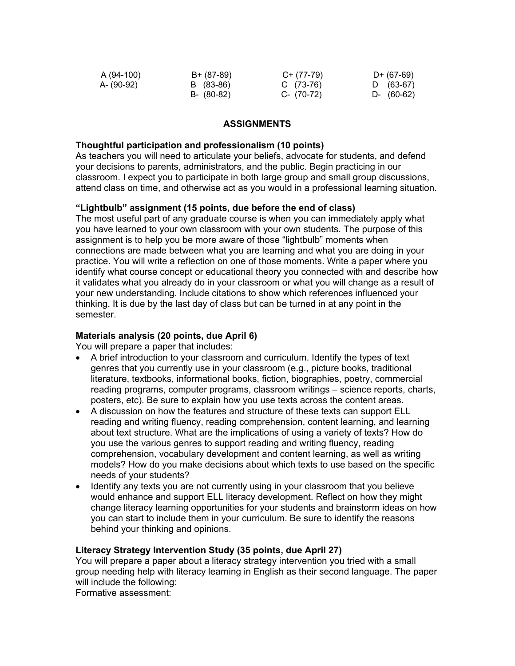| A (94-100) | B+ (87-89) | C+ (77-79)   | D+ (67-69)   |
|------------|------------|--------------|--------------|
| A- (90-92) | B (83-86)  | C (73-76)    | D (63-67)    |
|            | B- (80-82) | $C- (70-72)$ | $D-$ (60-62) |

## **ASSIGNMENTS**

### **Thoughtful participation and professionalism (10 points)**

As teachers you will need to articulate your beliefs, advocate for students, and defend your decisions to parents, administrators, and the public. Begin practicing in our classroom. I expect you to participate in both large group and small group discussions, attend class on time, and otherwise act as you would in a professional learning situation.

# **"Lightbulb" assignment (15 points, due before the end of class)**

The most useful part of any graduate course is when you can immediately apply what you have learned to your own classroom with your own students. The purpose of this assignment is to help you be more aware of those "lightbulb" moments when connections are made between what you are learning and what you are doing in your practice. You will write a reflection on one of those moments. Write a paper where you identify what course concept or educational theory you connected with and describe how it validates what you already do in your classroom or what you will change as a result of your new understanding. Include citations to show which references influenced your thinking. It is due by the last day of class but can be turned in at any point in the semester.

# **Materials analysis (20 points, due April 6)**

You will prepare a paper that includes:

- A brief introduction to your classroom and curriculum. Identify the types of text genres that you currently use in your classroom (e.g., picture books, traditional literature, textbooks, informational books, fiction, biographies, poetry, commercial reading programs, computer programs, classroom writings – science reports, charts, posters, etc). Be sure to explain how you use texts across the content areas.
- A discussion on how the features and structure of these texts can support ELL reading and writing fluency, reading comprehension, content learning, and learning about text structure. What are the implications of using a variety of texts? How do you use the various genres to support reading and writing fluency, reading comprehension, vocabulary development and content learning, as well as writing models? How do you make decisions about which texts to use based on the specific needs of your students?
- Identify any texts you are not currently using in your classroom that you believe would enhance and support ELL literacy development. Reflect on how they might change literacy learning opportunities for your students and brainstorm ideas on how you can start to include them in your curriculum. Be sure to identify the reasons behind your thinking and opinions.

## **Literacy Strategy Intervention Study (35 points, due April 27)**

You will prepare a paper about a literacy strategy intervention you tried with a small group needing help with literacy learning in English as their second language. The paper will include the following:

Formative assessment: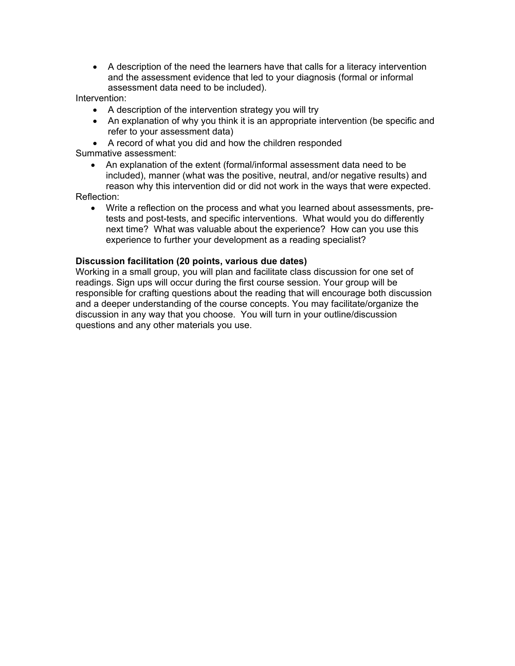• A description of the need the learners have that calls for a literacy intervention and the assessment evidence that led to your diagnosis (formal or informal assessment data need to be included).

Intervention:

- A description of the intervention strategy you will try
- An explanation of why you think it is an appropriate intervention (be specific and refer to your assessment data)
- A record of what you did and how the children responded Summative assessment:
	- An explanation of the extent (formal/informal assessment data need to be included), manner (what was the positive, neutral, and/or negative results) and reason why this intervention did or did not work in the ways that were expected.

Reflection:

• Write a reflection on the process and what you learned about assessments, pretests and post-tests, and specific interventions. What would you do differently next time? What was valuable about the experience? How can you use this experience to further your development as a reading specialist?

# **Discussion facilitation (20 points, various due dates)**

Working in a small group, you will plan and facilitate class discussion for one set of readings. Sign ups will occur during the first course session. Your group will be responsible for crafting questions about the reading that will encourage both discussion and a deeper understanding of the course concepts. You may facilitate/organize the discussion in any way that you choose. You will turn in your outline/discussion questions and any other materials you use.